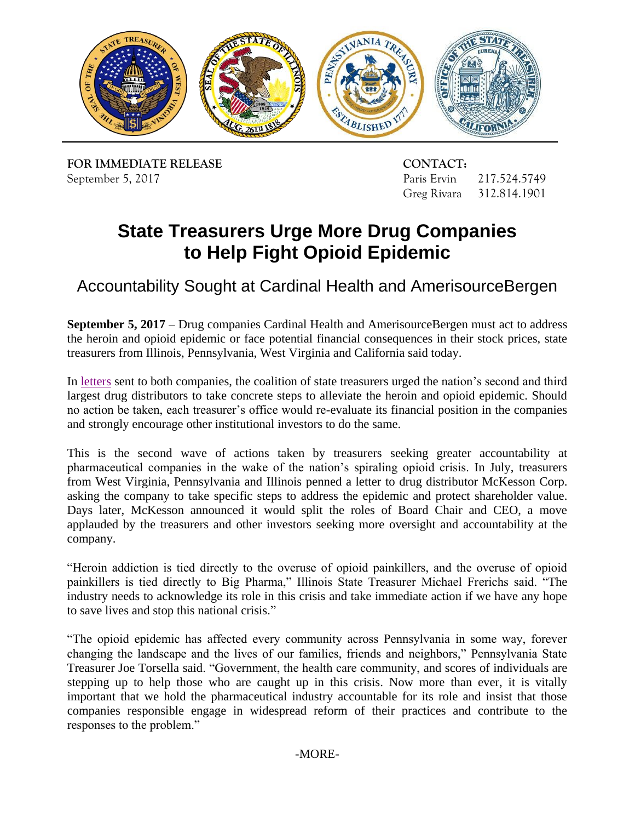

**FOR IMMEDIATE RELEASE CONTACT:** September 5, 2017 Paris Ervin 217.524.5749

Greg Rivara 312.814.1901

# **State Treasurers Urge More Drug Companies to Help Fight Opioid Epidemic**

Accountability Sought at Cardinal Health and AmerisourceBergen

 **September 5, 2017** – Drug companies Cardinal Health and AmerisourceBergen must act to address treasurers from Illinois, Pennsylvania, West Virginia and California said today. the heroin and opioid epidemic or face potential financial consequences in their stock prices, state

In [letters](http://illinoistreasurer.gov/TWOCMS/media/doc/AmerisourceBergen%20and%20Cardinal%20Health%20Letters%20-%20Opioids%2009.05.2017.pdf) sent to both companies, the coalition of state treasurers urged the nation's second and third largest drug distributors to take concrete steps to alleviate the heroin and opioid epidemic. Should no action be taken, each treasurer's office would re-evaluate its financial position in the companies and strongly encourage other institutional investors to do the same.

 from West Virginia, Pennsylvania and Illinois penned a letter to drug distributor McKesson Corp. asking the company to take specific steps to address the epidemic and protect shareholder value. Days later, McKesson announced it would split the roles of Board Chair and CEO, a move company. This is the second wave of actions taken by treasurers seeking greater accountability at pharmaceutical companies in the wake of the nation's spiraling opioid crisis. In July, treasurers applauded by the treasurers and other investors seeking more oversight and accountability at the

 company. "Heroin addiction is tied directly to the overuse of opioid painkillers, and the overuse of opioid painkillers is tied directly to Big Pharma," Illinois State Treasurer Michael Frerichs said. "The industry needs to acknowledge its role in this crisis and take immediate action if we have any hope to save lives and stop this national crisis."

 stepping up to help those who are caught up in this crisis. Now more than ever, it is vitally important that we hold the pharmaceutical industry accountable for its role and insist that those "The opioid epidemic has affected every community across Pennsylvania in some way, forever changing the landscape and the lives of our families, friends and neighbors," Pennsylvania State Treasurer Joe Torsella said. "Government, the health care community, and scores of individuals are companies responsible engage in widespread reform of their practices and contribute to the responses to the problem."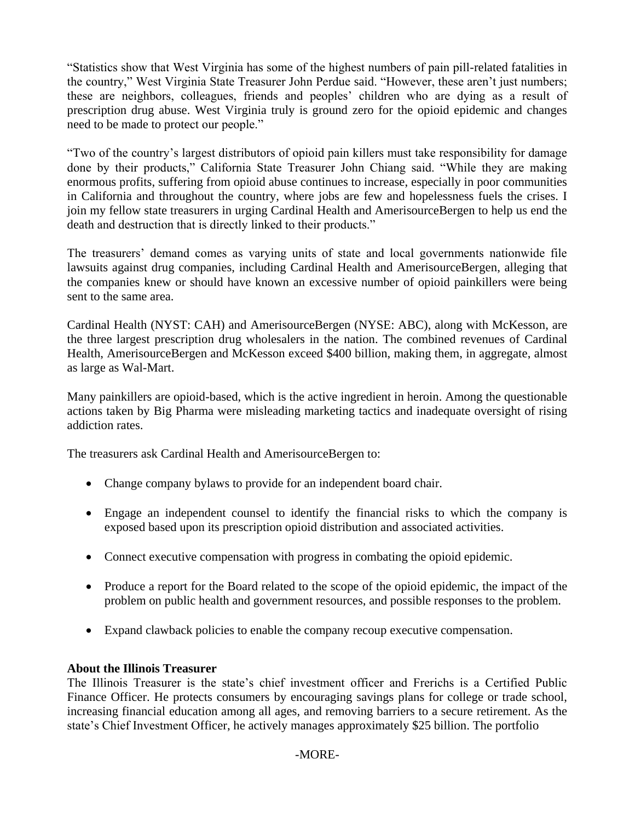"Statistics show that West Virginia has some of the highest numbers of pain pill-related fatalities in the country," West Virginia State Treasurer John Perdue said. "However, these aren't just numbers; these are neighbors, colleagues, friends and peoples' children who are dying as a result of prescription drug abuse. West Virginia truly is ground zero for the opioid epidemic and changes need to be made to protect our people."

 "Two of the country's largest distributors of opioid pain killers must take responsibility for damage enormous profits, suffering from opioid abuse continues to increase, especially in poor communities done by their products," California State Treasurer John Chiang said. "While they are making in California and throughout the country, where jobs are few and hopelessness fuels the crises. I join my fellow state treasurers in urging Cardinal Health and AmerisourceBergen to help us end the death and destruction that is directly linked to their products."

The treasurers' demand comes as varying units of state and local governments nationwide file lawsuits against drug companies, including Cardinal Health and AmerisourceBergen, alleging that the companies knew or should have known an excessive number of opioid painkillers were being sent to the same area.

 Cardinal Health (NYST: CAH) and AmerisourceBergen (NYSE: ABC), along with McKesson, are the three largest prescription drug wholesalers in the nation. The combined revenues of Cardinal Health, AmerisourceBergen and McKesson exceed \$400 billion, making them, in aggregate, almost as large as Wal-Mart.

 addiction rates. Many painkillers are opioid-based, which is the active ingredient in heroin. Among the questionable actions taken by Big Pharma were misleading marketing tactics and inadequate oversight of rising

The treasurers ask Cardinal Health and AmerisourceBergen to:

- Change company bylaws to provide for an independent board chair.
- Engage an independent counsel to identify the financial risks to which the company is exposed based upon its prescription opioid distribution and associated activities.
- Connect executive compensation with progress in combating the opioid epidemic.
- Produce a report for the Board related to the scope of the opioid epidemic, the impact of the problem on public health and government resources, and possible responses to the problem.
- Expand clawback policies to enable the company recoup executive compensation.

#### **About the Illinois Treasurer**

 Finance Officer. He protects consumers by encouraging savings plans for college or trade school, increasing financial education among all ages, and removing barriers to a secure retirement. As the state's Chief Investment Officer, he actively manages approximately \$25 billion. The portfolio The Illinois Treasurer is the state's chief investment officer and Frerichs is a Certified Public